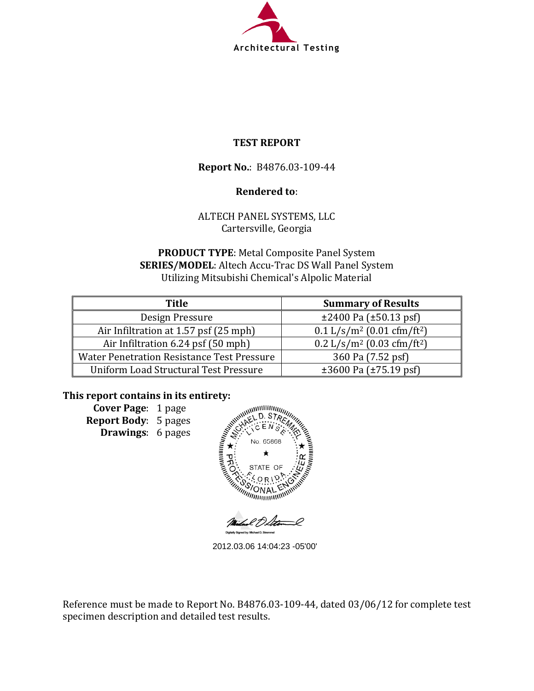

# **TEST REPORT**

# **Report No.**: B4876.03-109-44

# **Rendered to**:

# ALTECH PANEL SYSTEMS, LLC Cartersville, Georgia

# **PRODUCT TYPE**: Metal Composite Panel System **SERIES/MODEL**: Altech Accu-Trac DS Wall Panel System Utilizing Mitsubishi Chemical's Alpolic Material

| <b>Title</b>                                      | <b>Summary of Results</b>                            |
|---------------------------------------------------|------------------------------------------------------|
| Design Pressure                                   | $\pm 2400$ Pa ( $\pm 50.13$ psf)                     |
| Air Infiltration at 1.57 psf (25 mph)             | $0.1$ L/s/m <sup>2</sup> (0.01 cfm/ft <sup>2</sup> ) |
| Air Infiltration 6.24 psf (50 mph)                | $0.2$ L/s/m <sup>2</sup> (0.03 cfm/ft <sup>2</sup> ) |
| <b>Water Penetration Resistance Test Pressure</b> | 360 Pa (7.52 psf)                                    |
| Uniform Load Structural Test Pressure             | $\pm 3600$ Pa ( $\pm 75.19$ psf)                     |

# **This report contains in its entirety:**

**Cover Page**: 1 page  **Report Body**: 5 pages  **Drawings**: 6 pages



2012.03.06 14:04:23 -05'00'

Reference must be made to Report No. B4876.03-109-44, dated 03/06/12 for complete test specimen description and detailed test results.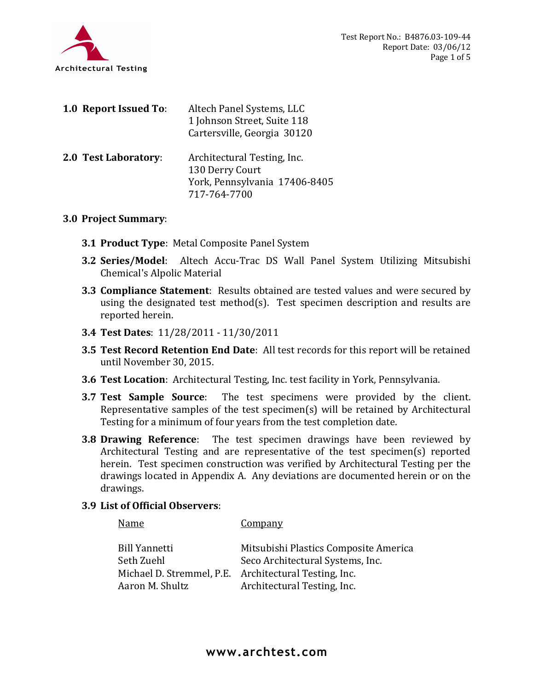

| 1.0 Report Issued To: | Altech Panel Systems, LLC     |
|-----------------------|-------------------------------|
|                       | 1 Johnson Street, Suite 118   |
|                       | Cartersville, Georgia 30120   |
| 2.0 Test Laboratory:  | Architectural Testing, Inc.   |
|                       | 130 Derry Court               |
|                       | York, Pennsylvania 17406-8405 |
|                       | 717-764-7700                  |

### **3.0 Project Summary**:

- **3.1 Product Type**: Metal Composite Panel System
- **3.2 Series/Model**: Altech Accu-Trac DS Wall Panel System Utilizing Mitsubishi Chemical's Alpolic Material
- **3.3 Compliance Statement**: Results obtained are tested values and were secured by using the designated test method(s). Test specimen description and results are reported herein.
- **3.4 Test Dates**: 11/28/2011 11/30/2011
- **3.5 Test Record Retention End Date**: All test records for this report will be retained until November 30, 2015.
- **3.6 Test Location**: Architectural Testing, Inc. test facility in York, Pennsylvania.
- **3.7 Test Sample Source**: The test specimens were provided by the client. Representative samples of the test specimen(s) will be retained by Architectural Testing for a minimum of four years from the test completion date.
- **3.8 Drawing Reference**: The test specimen drawings have been reviewed by Architectural Testing and are representative of the test specimen(s) reported herein. Test specimen construction was verified by Architectural Testing per the drawings located in Appendix A. Any deviations are documented herein or on the drawings.

### **3.9 List of Official Observers**:

Name Company

| Bill Yannetti                                         | Mitsubishi Plastics Composite America |
|-------------------------------------------------------|---------------------------------------|
| Seth Zuehl                                            | Seco Architectural Systems, Inc.      |
| Michael D. Stremmel, P.E. Architectural Testing, Inc. |                                       |
| Aaron M. Shultz                                       | Architectural Testing, Inc.           |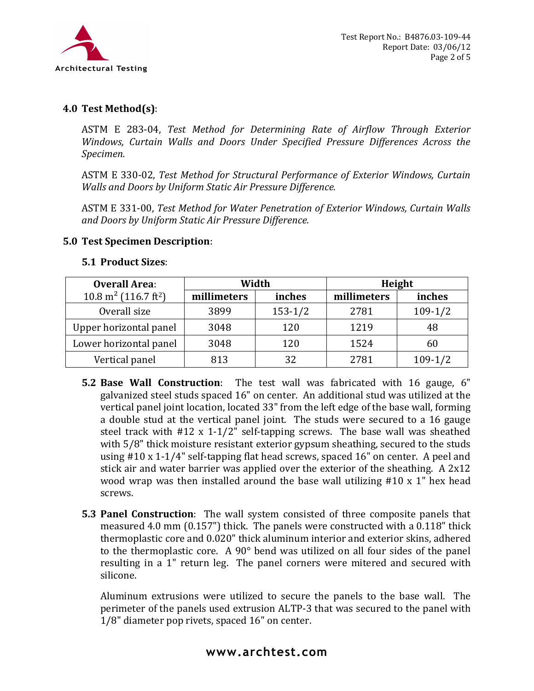

## **4.0 Test Method(s)**:

ASTM E 283-04, *Test Method for Determining Rate of Airflow Through Exterior Windows, Curtain Walls and Doors Under Specified Pressure Differences Across the Specimen.*

ASTM E 330-02, *Test Method for Structural Performance of Exterior Windows, Curtain Walls and Doors by Uniform Static Air Pressure Difference.*

ASTM E 331-00, *Test Method for Water Penetration of Exterior Windows, Curtain Walls and Doors by Uniform Static Air Pressure Difference.*

### **5.0 Test Specimen Description**:

| <b>Overall Area:</b>                    | Width       |             | Height      |           |
|-----------------------------------------|-------------|-------------|-------------|-----------|
| $10.8 \text{ m}^2 (116.7 \text{ ft}^2)$ | millimeters | inches      | millimeters | inches    |
| Overall size                            | 3899        | $153 - 1/2$ | 2781        | $109-1/2$ |
| Upper horizontal panel                  | 3048        | 120         | 1219        | 48        |
| Lower horizontal panel                  | 3048        | 120         | 1524        | 60        |
| Vertical panel                          | 813         | 32          | 2781        | $109-1/2$ |

### **5.1 Product Sizes**:

- **5.2 Base Wall Construction**: The test wall was fabricated with 16 gauge, 6" galvanized steel studs spaced 16" on center. An additional stud was utilized at the vertical panel joint location, located 33" from the left edge of the base wall, forming a double stud at the vertical panel joint. The studs were secured to a 16 gauge steel track with #12 x 1-1/2" self-tapping screws. The base wall was sheathed with 5/8" thick moisture resistant exterior gypsum sheathing, secured to the studs using #10 x 1-1/4" self-tapping flat head screws, spaced 16" on center. A peel and stick air and water barrier was applied over the exterior of the sheathing. A 2x12 wood wrap was then installed around the base wall utilizing #10 x 1" hex head screws.
- **5.3 Panel Construction**: The wall system consisted of three composite panels that measured 4.0 mm (0.157") thick. The panels were constructed with a 0.118" thick thermoplastic core and 0.020" thick aluminum interior and exterior skins, adhered to the thermoplastic core. A 90° bend was utilized on all four sides of the panel resulting in a 1" return leg. The panel corners were mitered and secured with silicone.

Aluminum extrusions were utilized to secure the panels to the base wall. The perimeter of the panels used extrusion ALTP-3 that was secured to the panel with 1/8" diameter pop rivets, spaced 16" on center.

# www.archtest.com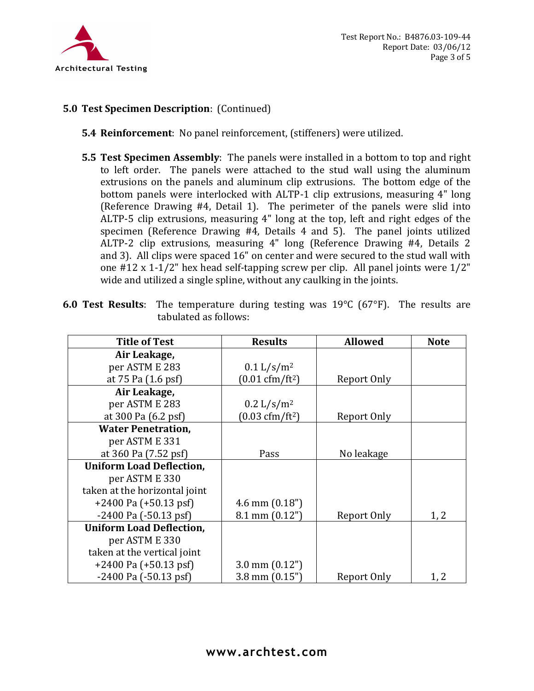

# **5.0 Test Specimen Description**: (Continued)

- **5.4 Reinforcement**: No panel reinforcement, (stiffeners) were utilized.
- **5.5 Test Specimen Assembly**: The panels were installed in a bottom to top and right to left order. The panels were attached to the stud wall using the aluminum extrusions on the panels and aluminum clip extrusions. The bottom edge of the bottom panels were interlocked with ALTP-1 clip extrusions, measuring 4" long (Reference Drawing #4, Detail 1). The perimeter of the panels were slid into ALTP-5 clip extrusions, measuring 4" long at the top, left and right edges of the specimen (Reference Drawing #4, Details 4 and 5). The panel joints utilized ALTP-2 clip extrusions, measuring 4" long (Reference Drawing #4, Details 2 and 3). All clips were spaced 16" on center and were secured to the stud wall with one #12 x 1-1/2" hex head self-tapping screw per clip. All panel joints were 1/2" wide and utilized a single spline, without any caulking in the joints.

| <b>Title of Test</b>            | <b>Results</b>                   | <b>Allowed</b> | <b>Note</b> |
|---------------------------------|----------------------------------|----------------|-------------|
| Air Leakage,                    |                                  |                |             |
| per ASTM E 283                  | 0.1 L/s/m <sup>2</sup>           |                |             |
| at 75 Pa (1.6 psf)              | $(0.01 \text{ cfm}/\text{ft}^2)$ | Report Only    |             |
| Air Leakage,                    |                                  |                |             |
| per ASTM E 283                  | 0.2 L/s/m <sup>2</sup>           |                |             |
| at 300 Pa (6.2 psf)             | $(0.03 \text{ cfm}/\text{ft}^2)$ | Report Only    |             |
| <b>Water Penetration,</b>       |                                  |                |             |
| per ASTM E 331                  |                                  |                |             |
| at 360 Pa (7.52 psf)            | Pass                             | No leakage     |             |
| <b>Uniform Load Deflection,</b> |                                  |                |             |
| per ASTM E 330                  |                                  |                |             |
| taken at the horizontal joint   |                                  |                |             |
| $+2400$ Pa $(+50.13$ psf)       | $4.6$ mm $(0.18")$               |                |             |
| $-2400$ Pa $(-50.13$ psf        | $8.1$ mm $(0.12")$               | Report Only    | 1, 2        |
| <b>Uniform Load Deflection,</b> |                                  |                |             |
| per ASTM E 330                  |                                  |                |             |
| taken at the vertical joint     |                                  |                |             |
| $+2400$ Pa $(+50.13$ psf)       | $3.0 \text{ mm} (0.12")$         |                |             |
| $-2400$ Pa $(-50.13$ psf        | $3.8$ mm $(0.15")$               | Report Only    | 1, 2        |

**6.0 Test Results**: The temperature during testing was 19°C (67°F). The results are tabulated as follows: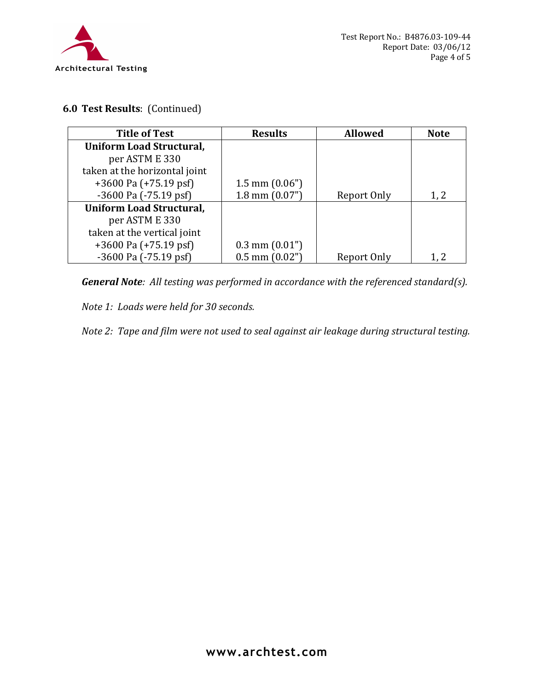

# **6.0 Test Results**: (Continued)

| <b>Title of Test</b>            | <b>Results</b>     | <b>Allowed</b> | <b>Note</b> |
|---------------------------------|--------------------|----------------|-------------|
| <b>Uniform Load Structural,</b> |                    |                |             |
| per ASTM E 330                  |                    |                |             |
| taken at the horizontal joint   |                    |                |             |
| $+3600$ Pa $(+75.19$ psf)       | $1.5$ mm $(0.06")$ |                |             |
| $-3600$ Pa $(-75.19$ psf)       | $1.8$ mm $(0.07")$ | Report Only    | 1, 2        |
| <b>Uniform Load Structural,</b> |                    |                |             |
| per ASTM E 330                  |                    |                |             |
| taken at the vertical joint     |                    |                |             |
| $+3600$ Pa $(+75.19$ psf)       | $0.3$ mm $(0.01")$ |                |             |
| $-3600$ Pa $(-75.19$ psf)       | $0.5$ mm $(0.02")$ | Report Only    | 1, 2        |

*General Note: All testing was performed in accordance with the referenced standard(s).*

*Note 1: Loads were held for 30 seconds.*

*Note 2: Tape and film were not used to seal against air leakage during structural testing.*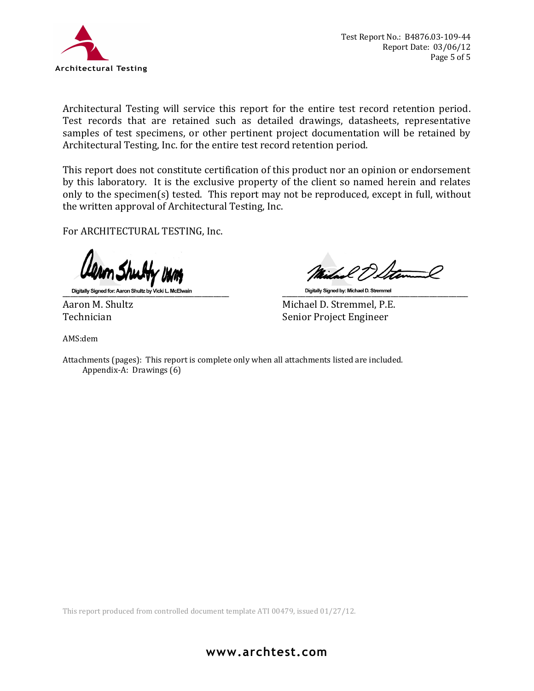

Architectural Testing will service this report for the entire test record retention period. Test records that are retained such as detailed drawings, datasheets, representative samples of test specimens, or other pertinent project documentation will be retained by Architectural Testing, Inc. for the entire test record retention period.

This report does not constitute certification of this product nor an opinion or endorsement by this laboratory. It is the exclusive property of the client so named herein and relates only to the specimen(s) tested. This report may not be reproduced, except in full, without the written approval of Architectural Testing, Inc.

For ARCHITECTURAL TESTING, Inc.

Digitally Signed for: Aaron Shultz by Vicki L. McElwain exception of the state of the state of the Digitally Signed by: Michael D. Stremmel

AMS:dem

Midad Deta

Aaron M. Shultz **Michael D. Stremmel, P.E.** Technician Senior Project Engineer

Attachments (pages): This report is complete only when all attachments listed are included. Appendix-A: Drawings (6)

This report produced from controlled document template ATI 00479, issued 01/27/12.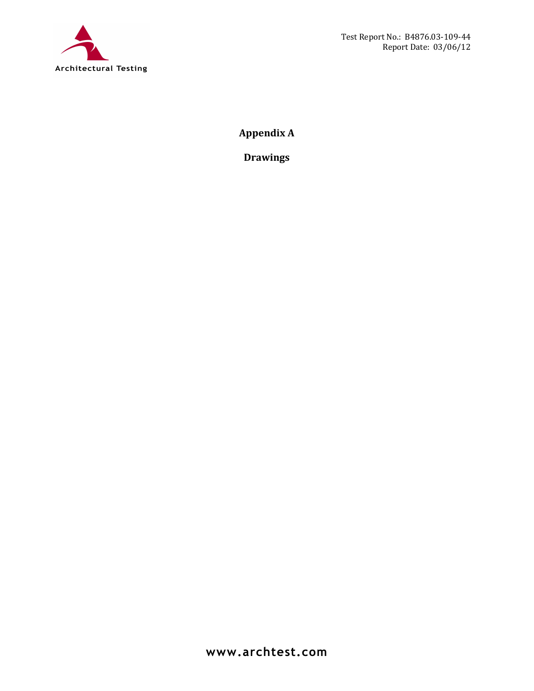

**Appendix A**

**Drawings**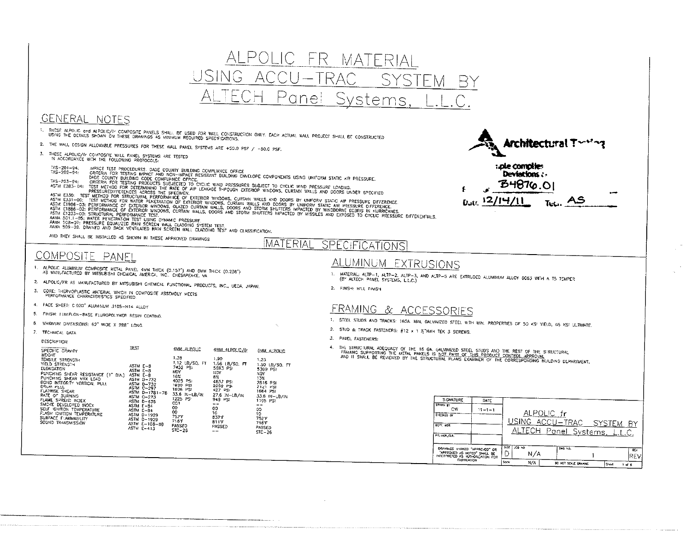| OLIC FR MAI<br>anei                                                                                                                                                                                                                                                                                                                                                                                                                                                                                                                                                                                                                                                                                                                                                                                                                                                                                                                                                                                                                                                                                                                                                                                                                                                                                                                                                                                                                                                                                                                                                                                                                                                                                                                                                                                                                                                             | Systems                                                                                                                                                                                                                                                                                                                                                                                                                                                                                                                                                                                                                                                                                                                                                                                                                                                                                                                                                                                                                                                                                                                 |
|---------------------------------------------------------------------------------------------------------------------------------------------------------------------------------------------------------------------------------------------------------------------------------------------------------------------------------------------------------------------------------------------------------------------------------------------------------------------------------------------------------------------------------------------------------------------------------------------------------------------------------------------------------------------------------------------------------------------------------------------------------------------------------------------------------------------------------------------------------------------------------------------------------------------------------------------------------------------------------------------------------------------------------------------------------------------------------------------------------------------------------------------------------------------------------------------------------------------------------------------------------------------------------------------------------------------------------------------------------------------------------------------------------------------------------------------------------------------------------------------------------------------------------------------------------------------------------------------------------------------------------------------------------------------------------------------------------------------------------------------------------------------------------------------------------------------------------------------------------------------------------|-------------------------------------------------------------------------------------------------------------------------------------------------------------------------------------------------------------------------------------------------------------------------------------------------------------------------------------------------------------------------------------------------------------------------------------------------------------------------------------------------------------------------------------------------------------------------------------------------------------------------------------------------------------------------------------------------------------------------------------------------------------------------------------------------------------------------------------------------------------------------------------------------------------------------------------------------------------------------------------------------------------------------------------------------------------------------------------------------------------------------|
| GENERAL NOTES<br>THESE ALPOUD OND ALPOLID/1- COMPOSITE PANELS SHALL BE USED FOR WALL CONSTRUCTION ONLY. EACH ACTUAL WALL PROJECT SHALL BE CONSTRUCTED<br>USING THE DETAILS SHOWN ON THESE DRAWINGS AS MINIMUM REQUIRED SPECIFICATIONS.<br>2. THE WALL DESIGN ALLOWABLE PRESSURES FOR THESE WALL PANEL SYSTEMS ARE +50.0 PSF / -50.0 PSF.<br>-5.<br>THESE ALPOLIC/IF COMPOSITE WALL FANEL SYSTEMS ARE TESTED<br>IN ACCORDANCE WITH THE FOLLOWING PROTOCOLS.<br>$75 - 201 - 94$<br>IMPACT TEST PROCEDURES. DADE COUNTY BUILDING COMPLIANCE OFFICE<br>CRITERIA FOR TESTING IMPACT AND NON-IMPACT RESISTANT BUILDING ENVELOPE COVPONENTS USING UNIFORM STATIC AIR PRESSURE.<br>CRITERIA FOR TESTING PAACT ACTUURING PAACT<br>TAS-202-94:<br>DADE COUNTY BUILDING CODE COMPLIANCE CFFICE.<br>$TAS - 203 - 94$<br>CRIPRIX FOR TESTING PRODUCTS SUBJECTED TO CYCLIC WIND PRESSURES SUBJECT TO CYCLIC WIND PRESSURE LOADING.<br>TEST METHOD FOR DETERMINING THE RATE OF AIP LEAKAGE THPOUGH EXTERIOP WINDOWS, CURTAIN WALLS AND DOORS UNDER SPECIFIED<br>AS-14 E283-04:<br>PRESSUREDIFFERENCES ACROSS THE SPECIMEN.<br>ASTM E330: TESTSURESTRERENCES ACROSS THE SPECIMEN.<br>ASTM E331:-OD: "EST METHOD FOR STRUCTURAL PERFORMANCE OF EXTERIOR WINDOWS, CURTAN WALLS AND DOORS BY UNIFORV STATC AIR PRESSURE DIFFERENCE.<br>ASTM E331-OD: "EST METHOD FOR W<br>AAVIA 501.1-05: WATER PENETRATION TEST USING DYNAMIC PRESSURE<br>ANN 501-07: FRESSURE EQUALIZED RAIN SCREEN WALL CLADDING SYSTEM TEST.<br>ANVA 503-07: PRESSURE EQUALIZED RAIN SCREEN WALL CLADDING SYSTEM TEST.<br>ANVA 509-09: DRAINED AND BACK VENTILATED RAIN SCREEN WALL CLADDING TEST AND CLASS                                                                                                                                                                                                                    | Architectural Twing<br>ple complies<br>Deviations :-<br>B4876.0<br>$_{\rm{D,10}}$ 12/14/11<br>AS.<br>Teu.                                                                                                                                                                                                                                                                                                                                                                                                                                                                                                                                                                                                                                                                                                                                                                                                                                                                                                                                                                                                               |
| AND THEY SHALL BE INSTALLED AS SHOWN IN THESE APPROVED DRAWINGS<br><b>MATERIA</b>                                                                                                                                                                                                                                                                                                                                                                                                                                                                                                                                                                                                                                                                                                                                                                                                                                                                                                                                                                                                                                                                                                                                                                                                                                                                                                                                                                                                                                                                                                                                                                                                                                                                                                                                                                                               | <b>SPECIFICATIONS</b>                                                                                                                                                                                                                                                                                                                                                                                                                                                                                                                                                                                                                                                                                                                                                                                                                                                                                                                                                                                                                                                                                                   |
| COMPOSITE PANEL<br>1. ALPOLIC ALUMINUM COMPOSITE METAL PANEL 4WM THICK (0.157") AND SMM THICK (0.256")<br>AS WARLFACTURED BY MITSUBISHI CHEMICAL AMERICA, INC., CHESAPEAKE, VA<br>2. ALPOLIC/FR AS MANUFACTURED BY MITSUBISHI CHEMICAL FUNCTIONAL PRODUCTS, INC., UEDA, JAPAN,<br>3.<br>CORE: THERMOPLASTIC MATERIAL WHICH IN COMPOSITE ASSEMBLY MEETS<br>PERFORMANCE CHARACTERISTICS SPECIFIED<br>4. FACE SHEET: C.020" ALUMINUM 3105-R14 ALLOY<br>-5.<br>FINISH: I WAIFLON-RASE FLUROPOLYMER RESIN COATING<br>MAXIMUM DIMENSIONS: 62" WIDE X 288" LONG.<br>6<br>7. TECHNICA: DATA<br><b>DESCRIPTION</b><br><b>IEST</b><br>4MM ALPOLIC<br>SPECIFIC GRAVITY<br>4MM_ALPOLIC/In<br><b><i>SMM_ALROUG</i></b><br><b>WEIGHT</b><br>1.38<br>1,90.<br>TENSILE STRENGTH<br>1.23<br>1.12 LB/SQ FT<br>1.56 LB/SC FT<br>YIELD STRENGTH<br>1.50 LB/SQ. FT<br>ASTM E-8<br>7452 PS:<br>5695 PS:<br><b>ELONGATION</b><br>5399 PSI<br>ASTM E-8<br><b>NDY</b><br>NDY<br>PUNCHING SHEAR RESISTANCE (1" DIA.)<br>NDY<br>ASTM E-8<br>16%<br>6%<br>13%<br>PUNCHING SHEAR MAX LCAD<br>ASIM D-732<br>4025 PS<br>4537 PSI<br>BOND INTEGRITY VERTICAL PULL<br>2816 PSI<br><b>ASTM D-732</b><br>1920 PSI<br>2259 PS:<br>DRUM PEEL<br>2121 PSI<br>ASTM C-297<br>1806 PS:<br>427 PSI<br><b>FLATWISE SHEAR</b><br>1664 PSI<br>ASTM D-1781-76<br>33.6 IN-LB/iN<br>27.6 IN-LB/IN<br>RATE OF BURNING<br>33.6 IN-13/IN<br><b>ASTM C-273</b><br>1225 PS<br>FLAME SPREAD INDEX<br>949 PSI<br>1195 PSI<br>ASTM D-535<br>CC1<br>$-1$<br><b>ASTM F-84</b><br>$- -$<br>00<br>OO.<br>SELF GNITION TEMPERATURE<br>co<br>ASTM E-84<br>00<br>10<br>FLASH IGNITION TEMPERATURE<br>$10 -$<br><b>ASTM D-1929</b><br>752'F<br>837F<br>SURFACE FLAMMABILITY<br>752 F<br>ASTM 0-1929<br>715'F<br>811T<br>SOUND TRANSMISSION<br>716'F<br>ASTM £-108-88<br>PASSED<br>PASSED<br>PASSED<br>ASTM E-413<br>$STC-26$<br>$-$<br>$STC-26$ | <u>ALUMINUM EXTRUSIONS</u><br>MATERIAL: ALTP-1, ALTP-2, ALTP-3, AND ALTP-5 ARE EXTRUDED ALUMINUM ALLOY 6063 WITH A TS TEMPER<br>(BY ALTECH PANEL SYSTEMS, L.L.C.)<br>2. FINISH: MILL FINISH<br>FRAMING & ACCESSORIES<br>1. STEEL STUDS AND TRACKS: 16GA. MIN, GALVINIZED STEEL WITH MIN. PROPERTIES OF 50 KSI YIELD, 65 KSI ULTIMATE.<br>2. STUD & TRACK FASTENERS: #12 x 1 K"HWH TEK 3 SCREWS.<br>3. PANEL FASTENERS:<br>4.<br>THE STRUCTURAL ADEQUACY OF THE 16 GA. GALVINIZED STEEL STUDS AND THE REST OF THE STRUCTURAL<br>FRAMING SUPPORTING THE METAL PANELS IS <u>NOT, PART, OF THIS PRODUCT CONTROL APPROVAL.</u><br>AND IT SHALL BE REVIEWED BY THE STRUCTURAL P<br><b>SIGNATURE</b><br>DATE<br>DRIVE BY<br>CW<br>$11 - 1 - 1$<br>ALPOLIC fr<br><b>C-ECKED BY</b><br>USING ACCU-TRAC<br>SYSTEM BY<br>DEPT. UCR<br>ALTECH Panel Systems,<br>$\curvearrowright$<br>PR: WOR /T.R.<br>92E<br>i Jos Mo<br>DRAWINGS WARKED "APPROVED" OR<br><b>LAND NO</b><br>REV<br>APPROVED AS NOTED SHALL BE<br>Ð<br>N/A<br>REV<br><b>FABRICATION</b><br>N/A<br>Seck<br><b>DO NOT SCALE DRAMMIC</b><br><b>Sever</b><br>$1$ of $6$ |

 $\mathcal{L}^{\text{max}}_{\text{max}}$  and  $\mathcal{L}^{\text{max}}_{\text{max}}$ 

 $\mathcal{A}^{\mathcal{A}}$ 

 $\frac{1}{2\sqrt{2}}$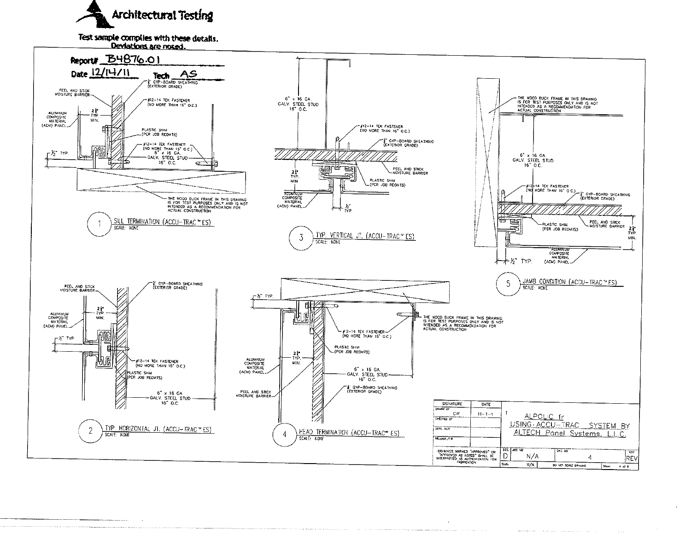

### Test sample complies with these details. Deviations are noted.

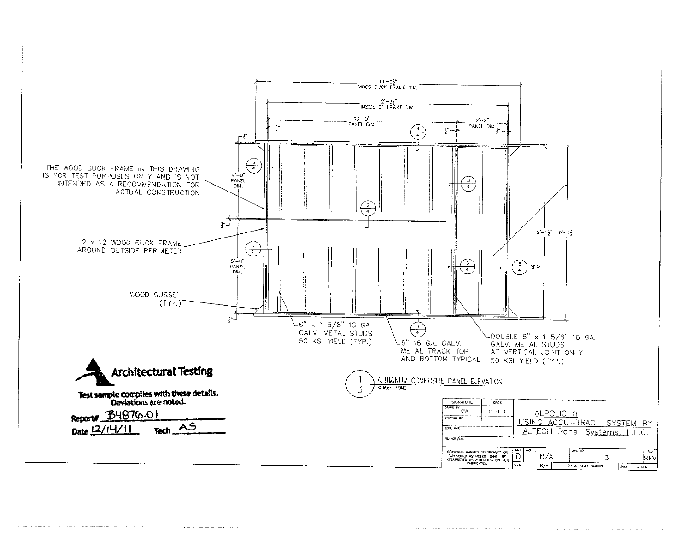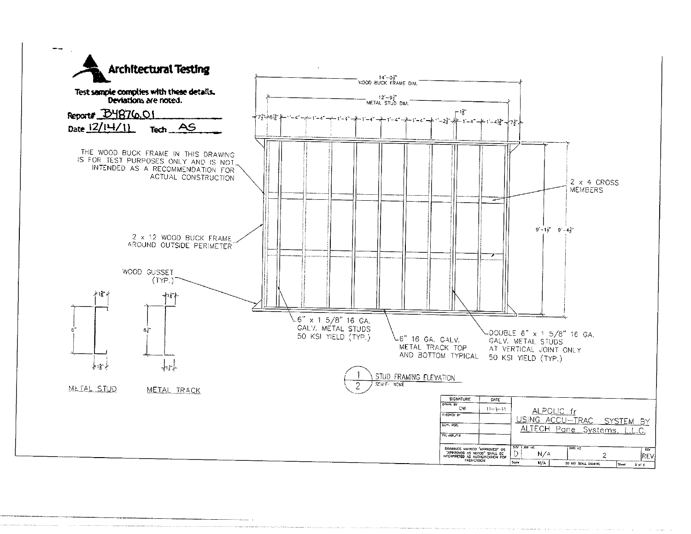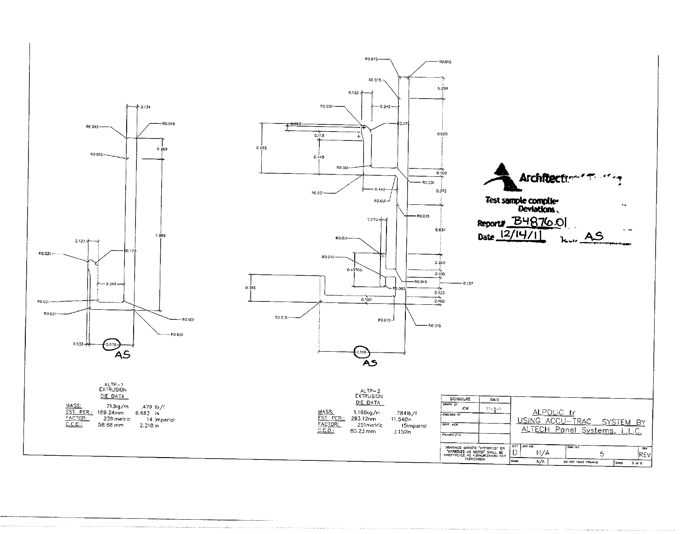